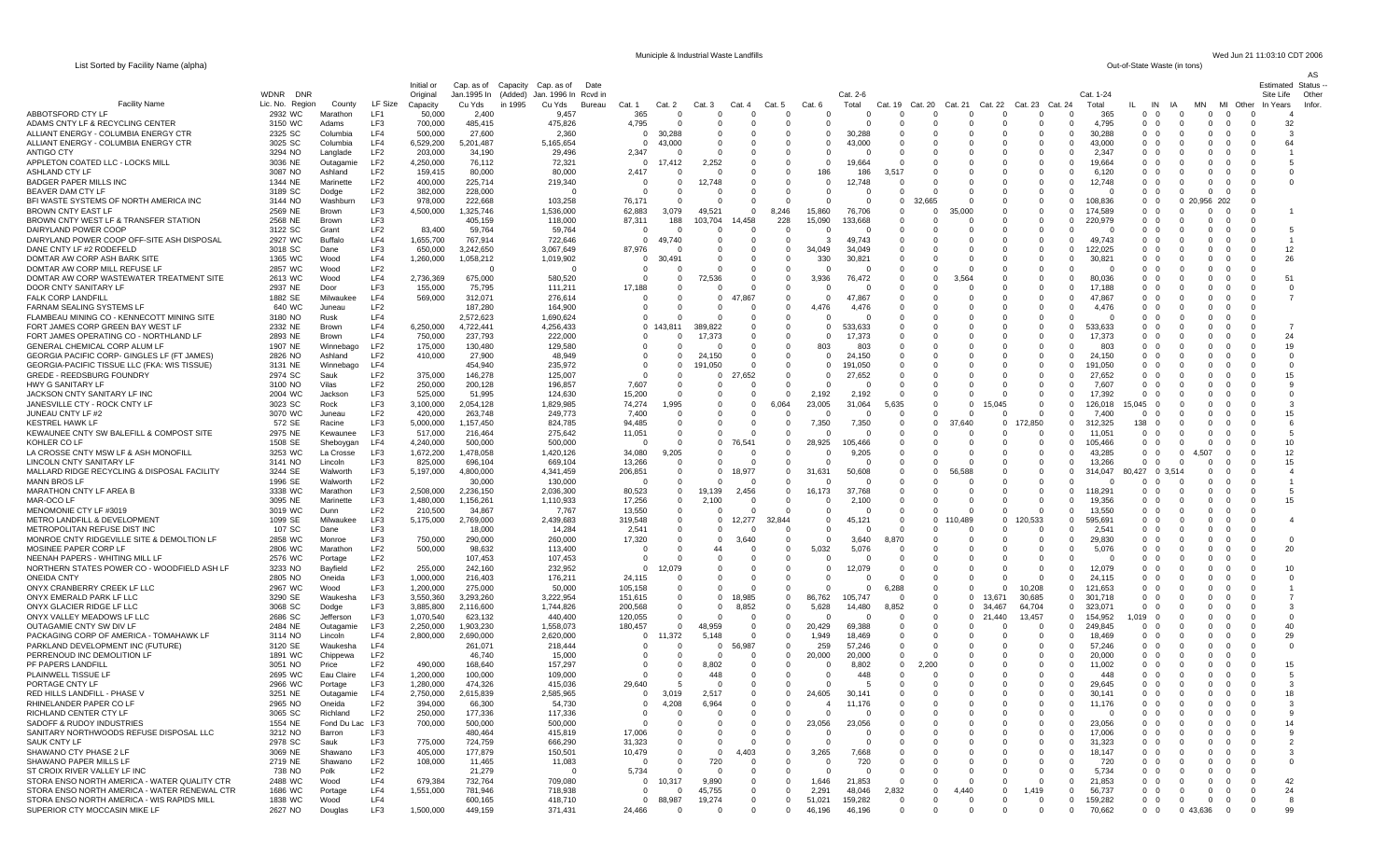List Sorted by Facility Name (alpha)

WDNR DNR

Cat. 2-6

Initial or Cap. as of Capacity Cap. as of Date Original Jan.1995 In (Added) Jan. 1996 In Rcvd in Municiple & Industrial Waste Landfills Wed Jun 21 11:03:10 CDT 2006<br>Out-of-State Waste (in tons)

Estimated Status -- Site Life Other

AS

Infor.

Cat. 1-24

| Facilitv Name                                | Lic. No. Region    | County             | LF Size         | Capacity  | in 1995<br>Cu Yds | Cu Yds<br>Bureau | Cat                | Cat. 2                  | Cat 3       | Cat 4             | Cat           | Cat.               | Total           | Cat. 19      | Cat. 20        | Cat. 21       | Cat. 22     | Cat. 23 | Cat. 24                          | Total             |                | IN<br>ΙA             | <b>MN</b>   | MI<br>Other | In Years                   |
|----------------------------------------------|--------------------|--------------------|-----------------|-----------|-------------------|------------------|--------------------|-------------------------|-------------|-------------------|---------------|--------------------|-----------------|--------------|----------------|---------------|-------------|---------|----------------------------------|-------------------|----------------|----------------------|-------------|-------------|----------------------------|
| ABBOTSFORD CTY LF                            | 2932 WC            | Marathon           | LF1             | 50,000    | 2.400             | 9.457            | 365                | $\Omega$                | $\Omega$    | $\Omega$          | $\Omega$      | $\Omega$           | $\Omega$        | $\Omega$     | $\Omega$       | $\Omega$      | $\Omega$    |         | $\Omega$<br>$\Omega$             | 365               | $\Omega$       | - 0<br>$\Omega$      | $\Omega$    | $\Omega$    | $\Omega$                   |
| ADAMS CNTY LF & RECYCLING CENTER             | 3150 WC            | Adams              | LF3             | 700,000   | 485,415           | 475,826          | 4.79               |                         | $\Omega$    | $\Omega$          | $\Omega$      | $\cap$             |                 | O            |                | $\Omega$      | $\Omega$    |         | $\Omega$<br>$\Omega$             | 4.795             | $\Omega$       | - 0<br>$\Omega$      | $\mathbf 0$ | $\Omega$    | 32<br>$\Omega$             |
| ALLIANT ENERGY - COLUMBIA ENERGY CTR         | 2325 SC            | Columbia           | LF4             | 500,000   | 27,600            | 2,360            |                    | 30,288                  | $\Omega$    | n                 | $\cap$        | $\Omega$           | 30.288          | 0            |                | 0             | 0           |         | $\Omega$<br>- 0                  | 30.288            | $\Omega$       | - 0<br>$\Omega$      | $^{\circ}$  | $\Omega$    | -3<br>$\Omega$             |
| ALLIANT ENERGY - COLUMBIA ENERGY CTR         | 3025 SC            | Columbia           | LF4             | 6,529,200 | 5,201,487         | 5,165,654        |                    | 43.000                  | $\Omega$    | $\Omega$          |               | $\Omega$           | 43.000          |              |                | $\Omega$      | $\Omega$    |         | $\Omega$<br>$\Omega$             | 43,000            | $\Omega$       | - 0                  | $\mathbf 0$ | $\Omega$    | 64<br>$\Omega$             |
| <b>ANTIGO CTY</b>                            | 3294 NO            | Langlade           | LF <sub>2</sub> | 203,000   | 34,190            | 29,496           | 2,347              |                         | $\Omega$    | $\Omega$          | $\Omega$      | $\Omega$           |                 | O            |                | $\Omega$      | $\Omega$    |         | $\Omega$<br>$\Omega$             | 2.347             | $\Omega$       | - 0                  | $\Omega$    | $\Omega$    | $\Omega$                   |
| APPLETON COATED LLC - LOCKS MILL             | 3036 NE            | Outagamie          | LF <sub>2</sub> | 4,250,000 | 76,112            | $72.32^{\circ}$  |                    | 17.412                  | 2,252       |                   |               | $\Omega$           | 19.664          |              |                | $^{\circ}$    | 0           |         | $\Omega$<br>$\Omega$             | 19,664            | $\Omega$       | - 0                  | 0           |             | $^{\circ}$                 |
| ASHLAND CTY LF                               | 3087 NO            | Ashland            | LF <sub>2</sub> | 159,415   | 80,000            | 80,000           | 2.417              |                         | $\Omega$    | $\Omega$          | $\Omega$      | 186                | 186             | 3.517        |                | $\Omega$      | $\Omega$    |         | $\Omega$<br>$\Omega$             | 6,120             | $\Omega$       | - 0                  | $\Omega$    | $\Omega$    | $\Omega$                   |
| <b>BADGER PAPER MILLS INC</b>                | 1344 NE            | Marinette          | LF <sub>2</sub> | 400,000   | 225.714           | 219,340          |                    |                         | 12,748      |                   |               | $\overline{0}$     | 12.748          |              |                | $\mathbf 0$   | 0           |         |                                  | 12,748            | $\mathbf 0$    | $^{\circ}$           | $^{\circ}$  | $^{\circ}$  | $\mathbf 0$                |
| BEAVER DAM CTY LF                            | 3189 SC            | Dodge              | LF <sub>2</sub> | 382,000   | 228,000           |                  |                    |                         |             | $\Omega$          | $\Omega$      |                    |                 |              |                | $\mathbf 0$   |             |         | $\Omega$                         |                   | $\mathbf{0}$   | - 0                  | $\mathbf 0$ | $\Omega$    |                            |
| BFI WASTE SYSTEMS OF NORTH AMERICA INC       | 3144 NO            | Washburr           | LF3             | 978,000   | 222,668           | 103,258          | 76,171             |                         | $\Omega$    | $\Omega$          |               |                    |                 | $\Omega$     | 32,665         | $\Omega$      | $\Omega$    |         | $\Omega$<br>$\Omega$             | 108.836           | $\Omega$       | $\Omega$             | 0 20.956    | -202        |                            |
| <b>BROWN CNTY EAST LF</b>                    | 2569 NE            | Brown              | LF3             | 4,500,000 | 1,325,746         | 1,536,000        | 62,883             | 3,079                   | 49,521      | $\Omega$          | 8,246         | 15,860             | 76.706          | $\Omega$     | $\Omega$       | 35,000        | $\Omega$    |         | $\Omega$<br>$\Omega$             | 174.589           | $0\quad 0$     |                      | $\Omega$    | $\Omega$    |                            |
| BROWN CNTY WEST LF & TRANSFER STATION        | 2568 NE            | Brown              | LF3             |           | 405,159           | 118,000          | 87,311             | 188                     | 103,704     | 14,458            | 228           | 15,090             | 133,668         | 0            |                | 0             | $\Omega$    |         | $\Omega$<br>$\Omega$             | 220,979           | $\Omega$       | - 0                  | $\Omega$    | $\Omega$    |                            |
| DAIRYLAND POWER COOP                         | 3122 SC            | Grant              | LF <sub>2</sub> | 83.400    | 59.764            | 59.764           | $\Omega$           | $\Omega$                | - 0         | $\Omega$          | $\Omega$      | $\Omega$           | - 0             | <sup>0</sup> | <sup>0</sup>   | $\Omega$      | $\Omega$    |         | $\Omega$<br><sup>0</sup>         | - 0               | $\Omega$       | $\Omega$             | $\Omega$    | $\Omega$    | 5<br>$\Omega$              |
| DAIRYLAND POWER COOP OFF-SITE ASH DISPOSAL   | 2927 WC            | Buffalo            | LF4             | 1,655,700 | 767,914           | 722,646          | $\Omega$           | 49.740                  | $\Omega$    | 0                 | $\Omega$      |                    | 49,743          | $\Omega$     | $\Omega$       | $\Omega$      | $\Omega$    |         | $\Omega$<br>0                    | 49.743            |                | $\Omega$             | $\Omega$    | $\Omega$    | $\Omega$                   |
| DANE CNTY LF #2 RODEFELD                     | 3018 SC            |                    | LF3             | 650.000   | 3.242.650         | 3.067.649        |                    |                         |             |                   |               | -3<br>34.049       | 34.049          |              |                |               |             |         |                                  | 122.025           | $\overline{0}$ |                      |             |             | 12                         |
| DOMTAR AW CORP ASH BARK SITE                 | 1365 WC            | Dane<br>Wood       | LF4             | 1.260.000 | 1.058.212         | 1.019.902        | 87,976<br>$\Omega$ |                         | $\Omega$    | - 0               | $\Omega$      | 330                | 30.821          | $\Omega$     | <sup>0</sup>   | $\Omega$      | $\Omega$    |         | $\Omega$<br>$\Omega$<br>$\Omega$ | 30.821            | $\Omega$       | - 0<br>$\Omega$      | $\Omega$    | $\Omega$    | $\Omega$                   |
|                                              |                    |                    |                 |           |                   |                  |                    | 30.49 <sup>-</sup>      | $\Omega$    | - 0               | $\Omega$      |                    |                 | 0            | <sup>0</sup>   | $\Omega$      | $\Omega$    |         | - 0                              |                   | $\Omega$       |                      | $\Omega$    | $\Omega$    | 26<br>0                    |
| DOMTAR AW CORP MILL REFUSE LF                | 2857 WC            | Wood               | LF <sub>2</sub> |           |                   | - 0              | $\Omega$           |                         | $\Omega$    | - 0               | $\Omega$      |                    | - 0             | $\Omega$     | $\Omega$       | $\Omega$      | $\Omega$    |         | - 0<br>$\Omega$                  | - 0               | $\Omega$       | - 0                  | $\Omega$    | $\Omega$    | 0                          |
| DOMTAR AW CORP WASTEWATER TREATMENT SITE     | 2613 WC            | Wood               | LF4             | 2.736.369 | 675.000           | 580.520          |                    | $\Omega$                | 72,536      | - 0               | $\Omega$      | 3,936              | 76,472          | $\Omega$     | $\Omega$       | 3.564         | $\Omega$    |         | - 0<br>$\Omega$                  | 80.036            | - 0            | - 0                  | $\Omega$    | $\Omega$    | 51<br>0                    |
| DOOR CNTY SANITARY LF                        | 2937 NE            | Door               | LF3             | 155,000   | 75,795            | 111.211          | 17,188             | O                       | $\Omega$    | $\Omega$          | $\Omega$      | $\Omega$           | - 0             | $\Omega$     | $\Omega$       | $\Omega$      | $\Omega$    |         | $\Omega$<br>$\Omega$             | 17 188            | $\Omega$       | - 0                  | $\Omega$    | $\Omega$    | $\Omega$<br>$\Omega$       |
| <b>FALK CORP LANDFILI</b>                    | 1882 SE            | <b>Milwauke</b>    | LF4             | 569,000   | 312.07'           | 276,614          |                    | 0                       | $\Omega$    | .867              | -0            | $\Omega$           | 47,867          | 0            |                | $\Omega$      | 0           |         | $\Omega$                         | 47,867            | $\Omega$       | $\Omega$             | $\Omega$    | $\Omega$    | -7<br>0                    |
| FARNAM SEALING SYSTEMS LF                    | 640 WC             | Juneau             | LF <sub>2</sub> |           | 187,280           | 164,900          |                    | O                       | - 0         | $\Omega$          | $\Omega$      | 4,476              | 4.476           | <sup>0</sup> |                | $\Omega$      | $\Omega$    |         | $\Omega$<br>$\Omega$             | 4.476             | $\Omega$       | $\Omega$             | $\Omega$    | $\Omega$    | $\Omega$                   |
| FLAMBEAU MINING CO - KENNECOTT MINING SITE   | 3180 NO            | Rusk               | LF4             |           | 2,572,623         | 1,690,624        |                    |                         | $\Omega$    | 0                 | $\Omega$      | $\cap$             |                 |              |                | $\Omega$      | $\Omega$    |         | $\Omega$                         |                   | $\overline{0}$ | $\Omega$             |             |             |                            |
| FORT JAMES CORP GREEN BAY WEST LF            | 2332 NE            | Brown              | LF4             | 6,250,000 | 4,722,441         | 4.256.433        |                    | 0 1                     | 389.822     | 0                 | -0            | - 0                | 533.633         | 0            |                | $\Omega$      | 0           |         | $\Omega$<br>$\Omega$             | 533.633           | $\Omega$       | - 0                  | $\Omega$    | $\Omega$    | -7<br>$\Omega$             |
| FORT JAMES OPERATING CO - NORTHLAND LF       | 2893 NE            | Brown              | LF4             | 750,000   | 237,793           | 222,000          |                    |                         | 17.373      | $\Omega$          | $\Omega$      | $\Omega$           | 17,373          |              |                | $\Omega$      | $\Omega$    |         | $\Omega$                         | 17.373            | - 0            | $\Omega$             |             | $\Omega$    | 24<br>$\Omega$             |
| GENERAL CHEMICAL CORP ALUM LF                | 1907 NE            | Winnebago          | LF2             | 175,000   | 130,480           | 129,580          |                    |                         |             | 0                 | 0             | 803                | 803             |              |                | $\Omega$      | $\Omega$    |         | $\Omega$                         | 803               | - 0            | $\Omega$             | $\Omega$    | $\Omega$    | 19<br>$^{\circ}$           |
| GEORGIA PACIFIC CORP- GINGLES LF (FT JAMES)  | 2826 NO            | Ashland            | LF <sub>2</sub> | 410,000   | 27,900            | 48,949           |                    | 0                       | 150         | $^{\circ}$        | 0             | $\Omega$           | 24,150          |              |                | $^{\circ}$    |             |         | $\Omega$                         | 24,150            | 0              | $\Omega$             |             |             | $\mathbf 0$<br>- C         |
| GEORGIA-PACIFIC TISSUE LLC (FKA: WIS TISSUE) | 3131 NE            | Winnebago          | LF4             |           | 454.940           | 235.972          |                    | $\Omega$                | 191.050     | $\mathsf{C}$      | $\Omega$      | $\Omega$           | 191.050         |              |                | $\Omega$      | $\Omega$    |         | $\Omega$                         | 191.050           | $\Omega$       |                      |             |             | $\Omega$<br>$\mathsf{C}$   |
| <b>GREDE - REEDSBURG FOUNDRY</b>             | 2974 SC            | Sauk               | LF <sub>2</sub> | 375,000   | 146,278           | 125.007          |                    |                         | $^{\circ}$  | 652               |               | $\overline{0}$     | 27.652          |              |                | $\mathbf 0$   |             |         |                                  | 27.652            | $\mathbf 0$    |                      |             |             | 15<br>$\mathbf 0$          |
| <b>HWY G SANITARY LF</b>                     | 3100 NO            | Vilas              | LF <sub>2</sub> | 250.000   | 200,128           | 196.857          | 7.607              | 0                       | $\Omega$    | $\Omega$          | $\Omega$      |                    |                 |              |                | $\Omega$      | $\Omega$    |         | $\Omega$                         | 7.607             | $\Omega$       |                      |             |             | $\Omega$<br><sub>c</sub>   |
| JACKSON CNTY SANITARY LF INC                 | 2004 WC            | Jackson            | LF3             | 525,000   | 51.995            | 124.630          | 15.200             |                         | $\Omega$    | $\Omega$          | $\Omega$      | 2,192              | 2,192           |              |                | $\Omega$      |             |         | $\Omega$                         | 17.392            | $\Omega$       |                      |             |             | $\Omega$<br>$\mathsf{C}$   |
| JANESVILLE CTY - ROCK CNTY LF                | 3023 SC            | Rock               | LF3             | 3,100,000 | 2,054,128         | 1,829,985        | 74,274             | .995                    | $\Omega$    | $\Omega$          | 6,064         | 23,005             | 31,064          | .635         | $\Omega$       | $\mathbf 0$   | 15.045      |         | $\Omega$<br>$\Omega$             | 126,018           | 5,045          | - 0                  |             |             | $\Omega$<br>-3             |
| JUNEAU CNTY LF #2                            | 3070 WC            | Juneau             | LF <sub>2</sub> | 420,000   | 263,748           | 249,773          | 7,400              | $\Omega$                | $\Omega$    | $\Omega$          | $\Omega$      |                    |                 | 0            | $\Omega$       | $\Omega$      | $\Omega$    |         | $\Omega$                         | 7.400             | $\Omega$       |                      | 0           |             | $\Omega$<br>15             |
| <b>KESTREL HAWK LF</b>                       | 572 SE             | Racine             | LF3             | 5,000,000 | 1,157,450         | 824,785          | 94,485             | $\Omega$                | $\Omega$    | $\Omega$          | $\Omega$      | 7,350              | 7,350           | $\Omega$     | $\overline{0}$ | 640<br>37     | $\mathbf 0$ | 72,850  | $\Omega$                         | 312325            | 138            | $\Omega$             | $\Omega$    | $\Omega$    | $\Omega$<br>$\epsilon$     |
| KEWAUNEE CNTY SW BALEFILL & COMPOST SITE     | 2975 NE            | Kewaunee           | LF3             | 517,000   | 216,464           | 275,642          | 11,051             | $\Omega$                | $\Omega$    | $\Omega$          | $\Omega$      | $\Omega$           | 0               | $\Omega$     | $\Omega$       | 0             | $\Omega$    |         | $\Omega$<br>$\Omega$             | 11,051            | $\mathbf 0$    | - 0                  | 0           | $\Omega$    | $\Omega$<br>-5             |
| KOHLER CO LF                                 | 1508 SE            | Sheboygan          | LF4             | 4.240.000 | 500,000           | 500,000          | $\Omega$           | $\Omega$                | $\Omega$    | 76.541            | $\Omega$      | 28.925             | 105.466         | $\Omega$     | $\Omega$       | $\Omega$      | $\Omega$    |         | $\Omega$<br>$\Omega$             | 105.466           | $\Omega$       | $\Omega$<br>$\Omega$ | $\Omega$    | $\Omega$    | 10<br>$\Omega$             |
| LA CROSSE CNTY MSW LF & ASH MONOFILL         | 3253 WC            | La Crosse          | LF3             | 1,672,200 | 1,478,058         | 1,420,126        | 34,080             | 9.205                   | $\Omega$    | - 0               | $\Omega$      | - 0                | 9.205           | $\Omega$     | $\Omega$       | $\Omega$      | $\Omega$    |         | $\Omega$<br>$\Omega$             | 43.285            | $\Omega$       | - 0<br>$\Omega$      | 4.507       | n           | 12<br>$\Omega$             |
| <b>LINCOLN CNTY SANITARY LF</b>              | 3141 NO            | Lincoln            | LF3             | 825,000   | 696,104           | 669.104          | 13,266             | $\Omega$                | $\Omega$    | $\Omega$          | $\Omega$      | $\Omega$           | - 0             | $\Omega$     | $\Omega$       | $\Omega$      | $\Omega$    |         | $\Omega$<br>$\Omega$             | 13.266            | $\Omega$       | $\Omega$<br>$\Omega$ | 0           | $\Omega$    | 15<br>$\Omega$             |
| MALLARD RIDGE RECYCLING & DISPOSAL FACILITY  | 3244 SE            | Walworth           | LF3             | 5,197,000 | 4,800,000         | 4.341.459        |                    | $\Omega$                | $\Omega$    | 18,977            | $\Omega$      | 31,631             |                 | $\Omega$     | $\Omega$       | 56.588        | $\Omega$    |         | $\Omega$<br>$\Omega$             | 314.047           | 427            | 0 3.514              | $\Omega$    | $\Omega$    | $\Omega$<br>$\overline{A}$ |
| <b>MANN BROS LF</b>                          | 1996 SE            | Walworth           | LF <sub>2</sub> |           | 30,000            | 130,000          | 206,851<br>റ       | $\Omega$                | $\cap$      | c                 | - 0           | n                  | 50,608<br>- 0   | $\Omega$     | $\Omega$       | 0             | $\Omega$    |         | $\Omega$<br>- 0                  | - 0               | $\Omega$       | റ<br>- ( )           | $\Omega$    | $\Omega$    | 0                          |
| MARATHON CNTY LF AREA B                      |                    |                    | LF3             |           |                   |                  |                    |                         |             |                   | $\Omega$      |                    |                 | O            | $\Omega$       | $\Omega$      | $\Omega$    |         | $\Omega$<br>$\Omega$             |                   | $\Omega$       | - 0                  | $\Omega$    | $\Omega$    | $\Omega$<br>5              |
|                                              | 3338 WC<br>3095 NE | Marathon           | LF3             | 2,508,000 | 2,236,150         | 2,036,300        | 80,523             | $\mathbf 0$<br>$\Omega$ | 19,139      | 2,456<br>$\Omega$ | $\Omega$      | 16,173<br>$\Omega$ | 37,768<br>2.100 | $\Omega$     | $\Omega$       | $\Omega$      | $\Omega$    |         | $\Omega$<br>$\Omega$             | 118,291<br>19.356 | $\Omega$       | - 0<br>$\Omega$      | $\Omega$    | $\Omega$    | 15<br>$\Omega$             |
| MAR-OCO LF                                   |                    | Marinette          |                 | 1,480,000 | 1,156,261         | 1,110,933        | 17,256             |                         | 2,100       |                   |               |                    |                 |              |                |               |             |         |                                  |                   |                |                      |             |             |                            |
| MENOMONIE CTY LF #3019                       | 3019 WC            | Dunn               | LF <sub>2</sub> | 210,500   | 34,867            | 7.767            | 13,550             | $\Omega$                | ſ           | C                 | ſ             | $\Omega$           |                 | 0            |                | $\Omega$      | 0           |         | $\Omega$<br>$\Omega$             | 13,550            | $\Omega$       | - 0<br>- 0           | $\Omega$    | - 0         | $\Omega$                   |
| METRO LANDFILL & DEVELOPMENT                 | 1099 SE            | Milwaukee          | LF3             | 5,175,000 | 2,769,000         | 2,439,683        | 319,548            | $\Omega$                | $\Omega$    | 12,277            | 32.844        | $\Omega$           | 45.121          | $\Omega$     | $\mathbf 0$    | ,489          | $\mathbf 0$ | 120,533 | $\Omega$                         | 595,691           | $\Omega$       | $\Omega$<br>$\Omega$ | $\Omega$    | $\Omega$    | $\Omega$                   |
| METROPOLITAN REFUSE DIST INC                 | 107 SC             | Dane               | LF3             |           | 18,000            | 14,284           | 2,541              | 0                       | $\Omega$    |                   | ſ             |                    |                 | $^{\circ}$   | $\mathbf 0$    | $\mathbf 0$   | 0           |         | $\overline{0}$<br>$\mathbf 0$    | 2,541             | $\mathbf 0$    | - 0<br>$\Omega$      | $\mathbf 0$ | $\mathbf 0$ | $\Omega$                   |
| MONROE CNTY RIDGEVILLE SITE & DEMOLTION LF   | 2858 WC            | Monroe             | LF3             | 750,000   | 290,000           | 260.000          | 17,320             | 0                       | 0           | 3,640             |               | $\Omega$           | 3,640           |              | $\Omega$       | $\mathbf 0$   | 0           |         | $\overline{0}$<br>$\mathbf 0$    | 29,830            | $\Omega$       | - 0<br>$\Omega$      | 0           | 0           | $\Omega$<br>- C            |
| MOSINEE PAPER CORP LF                        | 2806 WC            | Marathon           | LF <sub>2</sub> | 500,000   | 98,632            | 113,400          |                    | $\Omega$                | 44          | C                 | $\Omega$      | 5,032              | 5,076           |              | $\Omega$       | $\Omega$      | 0           |         | $\Omega$<br>$\Omega$             | 5,076             | $\Omega$       | - 0<br>$\Omega$      | 0           | $\mathbf 0$ | 20<br>$\Omega$             |
| NEENAH PAPERS - WHITING MILL LF              | 2576 WC            | Portage            | LF <sub>2</sub> |           | 107,453           | 107.453          |                    |                         |             | C                 |               |                    |                 |              |                | $\mathbf 0$   | $\mathbf 0$ |         | $\overline{0}$<br>$\Omega$       |                   | $\mathbf 0$    | $\Omega$             | $\mathbf 0$ | $\mathbf 0$ |                            |
| NORTHERN STATES POWER CO - WOODFIELD ASH LF  | 3233 NO            | Bayfield           | LF <sub>2</sub> | 255,000   | 242,160           | 232.952          |                    |                         | 0           | $\Omega$          | 0             | $\Omega$           | 12.079          | 0            |                | 0             | 0           |         | $\Omega$<br>0                    | 12,079            | $\mathbf 0$    | - 0                  | 0           | 0           | 10<br>$\mathbf 0$          |
| <b>ONEIDA CNTY</b>                           | 2805 NO            | Oneida             | LF3             | 1.000.000 | 216.403           | 176.211          | 24.115             |                         | $\Omega$    | $\mathsf{C}$      |               |                    |                 |              |                | $\Omega$      | $\Omega$    |         | $\Omega$<br>$\Omega$             | 24.115            | $\Omega$       | - 0                  | $\Omega$    | $\Omega$    | $\Omega$                   |
| ONYX CRANBERRY CREEK LF LLC                  | 2967 WC            | Wood               | LF3             | 1,200,000 | 275,000           | 50,000           | 105.158            |                         |             | C                 | $^{\circ}$    |                    | $\mathbf 0$     | 6.288        |                | $\mathbf 0$   | $\mathbf 0$ | 10.208  | 0                                | 121.653           | $\mathbf 0$    | $\overline{0}$       | $\mathbf 0$ |             |                            |
| ONYX EMERALD PARK LF LLC                     | 3290 SE            | Waukesha           | LF3             | 3,550,360 | 3,293,260         | 3,222,954        | 151,615            | $\Omega$                | $\Omega$    | 18.985            | $\Omega$      | 86,762             | 105,747         | $\Omega$     | $\Omega$       | $\mathbf 0$   | 13,671      | 30,685  | $\Omega$                         | 301.718           | $\Omega$       | - 0                  | $\Omega$    |             | $\Omega$                   |
| ONYX GLACIER RIDGE LF LLC                    | 3068 SC            | Dodge              | LF3             | 3,885,800 | 2,116,600         | 1,744,826        | 200,568            | $\Omega$                | $\Omega$    | 8,852             | $\Omega$      | 5,628              | 14,480          | 3.852        | $\Omega$       | $\Omega$      | 34,467      | 64,704  | $\Omega$                         | 323,071           | $\Omega$       | $\Omega$             | $\Omega$    | $\Omega$    | Э<br>$\Omega$              |
| ONYX VALLEY MEADOWS LF LLC                   | 2686 SC            | Jefferson          | LF3             | 1,070,540 | 623,132           | 440,400          | 120,055            | $\Omega$                | $\Omega$    | $\mathsf{C}$      | $\Omega$      | $\Omega$           | - 0             | $\Omega$     | $^{\circ}$     | $\mathbf 0$   | 21.440      | 13,457  | $\Omega$                         | 154,952           | 1,019          | - 0                  | $\Omega$    |             | 0                          |
| <b>OUTAGAMIE CNTY SW DIV LF</b>              | 2484 NE            | Outagamie          | LF3             | 2.250.000 | 1.903.230         | 1.558.073        | 180.457            | $\Omega$                | 48.959      | $\Omega$          | $\Omega$      | 20.429             | 69.388          | $\Omega$     | $\Omega$       | $\Omega$      | n           |         | $\Omega$<br>- 0                  | 249.845           | $\Omega$       | - 0                  | $\Omega$    | $\Omega$    | 40<br>$\Omega$             |
| PACKAGING CORP OF AMERICA - TOMAHAWK LF      | 3114 NO            | Lincoln            | LF4             | 2,800,000 | 2.690.000         | 2,620,000        | $\Omega$           | ,372                    | 5,148       | $\Omega$          | $\Omega$      | 1,949              | 18,469          | $\Omega$     | $\Omega$       | $\Omega$      | $\Omega$    |         | $\Omega$<br>$\Omega$             | 18.469            | $\Omega$       | $\Omega$             | $\Omega$    | $\Omega$    | 29<br>$\Omega$             |
| PARKLAND DEVELOPMENT INC (FUTURE)            | 3120 SE            | Waukesha           | LF4             |           | 261.07'           | 218,444          |                    | $\Omega$                | -0          | 56.987            | $\Omega$      | 259                | 57.246          | 0            | $\Omega$       | $\Omega$      | -0          |         | $\Omega$<br>$\Omega$             | 57.246            | $\Omega$       | - 0                  | $\Omega$    | $\Omega$    | - C<br>$\Omega$            |
| PERRENOUD INC DEMOLITION LF                  | 1891 WC            | Chippewa           | LF <sub>2</sub> |           | 46.740            | 15.000           | n                  | O                       | - 0         | $\Omega$          | $\Omega$      | 20.000             | 20,000          | $\Omega$     | $\Omega$       | $\Omega$      | $\Omega$    |         | $\Omega$<br>$\Omega$             | 20,000            | $\Omega$       | - 0                  | $\Omega$    | $\Omega$    | $\Omega$                   |
| PF PAPERS LANDFILL                           | 3051 NO            | Price              | LF <sub>2</sub> | 490,000   | 168,640           | 157.297          | $\Omega$           | O                       | 8.802       | $\Omega$          | $\Omega$      |                    | 8,802           | $\mathbf 0$  | 2.200          | $\Omega$      | $\Omega$    |         | $\Omega$<br>$\Omega$             | 11.002            | $\Omega$       | $\Omega$             | $\Omega$    | - 0         | 15<br>$\Omega$             |
| PLAINWELL TISSUE LF                          | 2695 WC            | Eau Claire         | LF4             | 1,200,000 | 100,000           | 109,000          |                    | $\Omega$                | 448         | - 0               | -0            |                    | 448             | 0            | - 0            | $\Omega$      | -0          |         | - 0                              | 448               | $\Omega$       | - 0                  | $\Omega$    | $\Omega$    | $\Omega$<br>-5             |
| PORTAGE CNTY LF                              | 2966 WC            | Portage            | LF3             | 1,280,000 | 474.326           | 415,036          | 29.640             |                         | - 0         | $\Omega$          | $\Omega$      | $\Omega$           |                 |              | <sup>0</sup>   | $\Omega$      | $\Omega$    |         | $\Omega$<br>$\Omega$             | 29.645            | $\Omega$       | - 0                  | $\Omega$    |             | Э<br>$\Omega$              |
| RED HILLS LANDFILL - PHASE                   | 3251 NE            | Outagamie          | LF4             | 2,750,000 | 2,615,839         | 2,585,965        |                    | 3.019                   | 2.517       | $\mathbf 0$       | $\mathbf 0$   | 24,605             | 30.141          |              |                | $\Omega$      | 0           |         | $\overline{0}$                   | 30.141            | $\mathbf 0$    | - 0                  | 0           |             | 18<br>∩                    |
| RHINELANDER PAPER CO LF                      | 2965 NO            | Oneida             | LF <sub>2</sub> | 394.000   | 66.300            | 54.730           |                    | 4.208                   | 6.964       | $\Omega$          | -0            |                    | 11,176          |              |                | $\Omega$      | 0           |         | $\Omega$                         | 11.176            | $\mathbf{0}$   | - 0                  | $\Omega$    |             | -3                         |
| RICHLAND CENTER CTY LF                       | 3065 SC            | Richland           | LF <sub>2</sub> | 250,000   | 177,336           | 117,336          |                    |                         | $\Omega$    | $\Omega$          | $\Omega$      | $\Omega$           |                 |              |                | $\Omega$      | $\Omega$    |         | $\Omega$                         | $\cap$            | $\Omega$       | - 0                  | $\Omega$    |             | $\mathbf c$                |
| SADOFF & RUDOY INDUSTRIES                    | 1554 NE            | Fond Du Lac        | LF3             | 700,000   | 500,000           | 500,000          |                    |                         | - 0         | 0                 | 0             | 056                | 23,056          |              |                | 0             | 0           |         | - 0                              | 23.056            | $\mathbf 0$    | - 0                  | 0           |             | 14                         |
| SANITARY NORTHWOODS REFUSE DISPOSAL LLC      | 3212 NO            | Barron             | LF3             |           | 480,464           | 415,819          | 17.006             |                         | $\Omega$    | $\Omega$          | $\Omega$      |                    |                 |              |                | $\Omega$      | $\Omega$    |         | $\Omega$<br>0                    | 17,006            | $\Omega$       | - 0                  | $\Omega$    |             | <b>g</b>                   |
| SAUK CNTY LF                                 | 2978 SC            | Sauk               | LF3             | 775,000   | 724,759           | 666,290          | 31,323             | 0                       | $\Omega$    | C                 | $\Omega$      | $\Omega$           |                 |              |                | $\Omega$      | $\Omega$    |         | $\Omega$                         | 31,323            | $\Omega$       | - 0                  | $\Omega$    |             | $\Omega$                   |
| SHAWANO CTY PHASE 2 LF                       | 3069 NE            |                    | LF3             | 405,000   | 177,879           | 150,501          |                    |                         |             |                   |               | 3,265              |                 |              |                |               | $\Omega$    |         | $\Omega$                         |                   |                | $\Omega$             | $\Omega$    |             |                            |
| <b>SHAWANO PAPER MILLS LF</b>                | 2719 NE            | Shawano<br>Shawano | LF <sub>2</sub> |           |                   |                  | 10.479             | 0                       | $\mathbf 0$ | l.403<br>$\Omega$ | 0<br>$\Omega$ |                    | 7.668<br>720    |              |                | 0<br>$\Omega$ |             |         |                                  | 18.147<br>720     | 0<br>$\Omega$  | $\Omega$             |             |             |                            |
|                                              |                    |                    |                 | 108,000   | 11,465            | 11,083           |                    |                         | 720         |                   |               |                    |                 |              |                |               |             |         |                                  |                   |                |                      |             |             |                            |
| ST CROIX RIVER VALLEY LF INC                 | 738 NO             | Polk               | LF <sub>2</sub> |           | 21,279            |                  | 5.73               |                         | $^{\circ}$  | C                 |               |                    |                 |              |                | $\mathbf 0$   |             |         |                                  | 5.734             | $\mathbf 0$    | $\mathbf 0$          |             |             |                            |
| STORA ENSO NORTH AMERICA - WATER QUALITY CTR | 2488 WC            | Wood               | LF4             | 679,384   | 732,764           | 709,080          |                    |                         | 9.890       | $\Omega$          |               | 1.646              | 21.853          |              |                | $\Omega$      | $\Omega$    |         |                                  | 21.853            | $\Omega$       | $\Omega$             | $\Omega$    |             | 42<br>$\Omega$             |
| STORA ENSO NORTH AMERICA - WATER RENEWAL CTR | 1686 WC            | Portage            | LF4             | 1,551,000 | 781.946           | 718.938          |                    |                         | 45.755      | $\Omega$          | $\Omega$      | 2.291              | 48.046          | .832         |                | 140           | $\Omega$    | 1.419   |                                  | 56.737            | $\Omega$       | $\Omega$             | $\Omega$    | $\Omega$    | 24<br>$\Omega$             |
| STORA ENSO NORTH AMERICA - WIS RAPIDS MILL   | 1838 WC            | Wood               | LF4             |           | 600,165           | 418.710          | $\Omega$           | 88.987                  | 19,274      | $\Omega$          | $\Omega$      | 51,021             | 159,282         | $\Omega$     |                | $\Omega$      | $\Omega$    |         | $\Omega$<br>$\Omega$             | 159,282           | $\Omega$       | $\Omega$<br>$\Omega$ | $\Omega$    | $\Omega$    | $\Omega$                   |
| SUPERIOR CTY MOCCASIN MIKE LF                | 2627 NO            | Douglas            | LF <sub>3</sub> | 1.500.000 | 449.159           | 371.431          | 24.466             |                         |             |                   |               | 196                | 46.196          |              |                |               |             |         |                                  | 70,662            | $\Omega$       | $\Omega$             | 0 43.636    |             | 99                         |